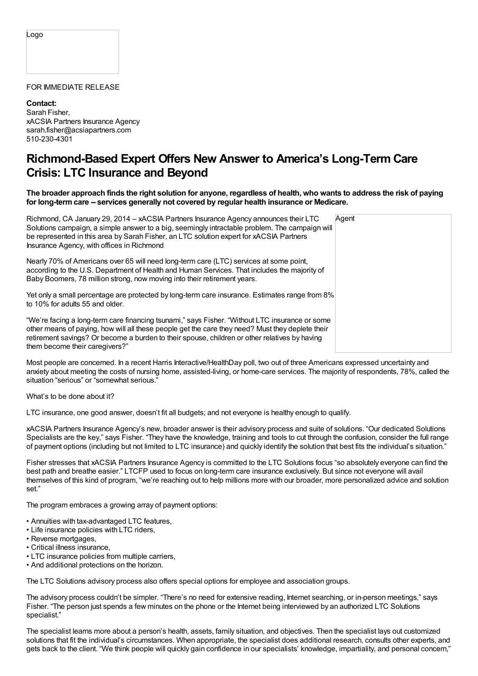Logo

## FOR IMMEDIATE RELEASE

**Contact:** Sarah Fisher, xACSIA Partners Insurance Agency sarah.fisher@acsiapartners.com 510-230-4301

## **Richmond-Based Expert Offers New Answer to America's Long-Term Care Crisis: LTC Insurance and Beyond**

The broader approach finds the right solution for anyone, regardless of health, who wants to address the risk of paying **for long-termcare -- services generally not covered by regular health insurance or Medicare.**

| Richmond, CA January 29, 2014 – xACSIA Partners Insurance Agency announces their LTC<br>Solutions campaign, a simple answer to a big, seemingly intractable problem. The campaign will<br>be represented in this area by Sarah Fisher, an LTC solution expert for xACSIA Partners<br>Insurance Agency, with offices in Richmond       | Agent |
|---------------------------------------------------------------------------------------------------------------------------------------------------------------------------------------------------------------------------------------------------------------------------------------------------------------------------------------|-------|
| Nearly 70% of Americans over 65 will need long-term care (LTC) services at some point,<br>according to the U.S. Department of Health and Human Services. That includes the majority of<br>Baby Boomers, 78 million strong, now moving into their retirement years.                                                                    |       |
| Yet only a small percentage are protected by long-term care insurance. Estimates range from 8%<br>to 10% for adults 55 and older.                                                                                                                                                                                                     |       |
| "We're facing a long-term care financing tsunami," says Fisher. "Without LTC insurance or some<br>other means of paying, how will all these people get the care they need? Must they deplete their<br>retirement savings? Or become a burden to their spouse, children or other relatives by having<br>them become their caregivers?" |       |

Most people are concerned. In a recent Harris Interactive/HealthDay poll, two out of three Americans expressed uncertainty and anxiety about meeting the costs of nursing home, assisted-living, or home-care services. The majority of respondents, 78%, called the situation "serious" or "somewhat serious."

What's to be done about it?

LTC insurance, one good answer, doesn't fit all budgets; and not everyone is healthy enough to qualify.

xACSIA Partners Insurance Agency's new, broader answer is their advisory process and suite of solutions. "Our dedicated Solutions Specialists are the key," says Fisher. "They have the knowledge, training and tools to cut through the confusion, consider the full range of payment options (including but not limited to LTC insurance) and quickly identify the solution that best fits the individual's situation."

Fisher stresses that xACSIA Partners Insurance Agency is committed to the LTC Solutions focus "so absolutely everyone can find the best path and breathe easier." LTCFP used to focus on long-term care insurance exclusively. But since not everyone will avail themselves of this kind of program, "we're reaching out to help millions more with our broader, more personalized advice and solution set."

The program embraces a growing array of payment options:

- Annuities with tax-advantaged LTC features,
- Life insurance policies with LTC riders,
- Reverse mortgages,
- Critical illness insurance,
- LTC insurance policies from multiple carriers,
- And additional protections on the horizon.

The LTC Solutions advisory process also offers special options for employee and association groups.

The advisory process couldn't be simpler. "There's no need for extensive reading, Internet searching, or in-person meetings," says Fisher. "The person just spends a few minutes on the phone or the Internet being interviewed by an authorized LTC Solutions specialist."

The specialist learns more about a person's health, assets, family situation, and objectives. Then the specialist lays out customized solutions that fit the individual's circumstances. When appropriate, the specialist does additional research, consults other experts, and gets back to the client. "We think people will quickly gain confidence in our specialists' knowledge, impartiality, and personal concern,"